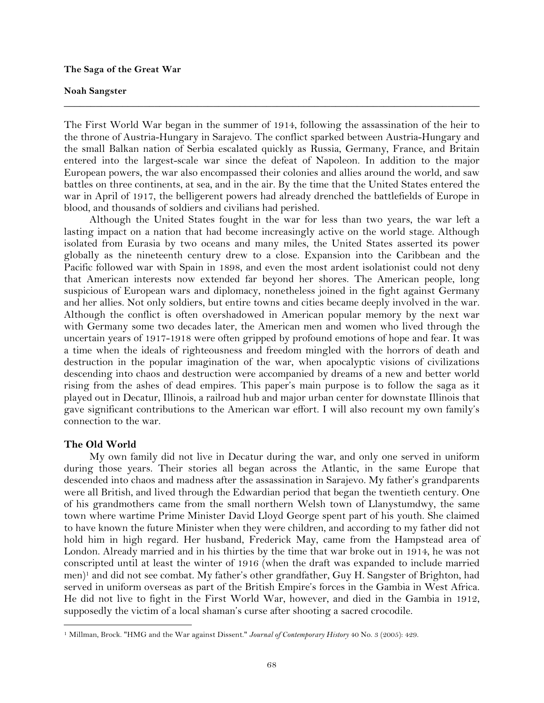## **The Saga of the Great War**

### **Noah Sangster**

The First World War began in the summer of 1914, following the assassination of the heir to the throne of Austria-Hungary in Sarajevo. The conflict sparked between Austria-Hungary and the small Balkan nation of Serbia escalated quickly as Russia, Germany, France, and Britain entered into the largest-scale war since the defeat of Napoleon. In addition to the major European powers, the war also encompassed their colonies and allies around the world, and saw battles on three continents, at sea, and in the air. By the time that the United States entered the war in April of 1917, the belligerent powers had already drenched the battlefields of Europe in blood, and thousands of soldiers and civilians had perished.

**\_\_\_\_\_\_\_\_\_\_\_\_\_\_\_\_\_\_\_\_\_\_\_\_\_\_\_\_\_\_\_\_\_\_\_\_\_\_\_\_\_\_\_\_\_\_\_\_\_\_\_\_\_\_\_\_\_\_\_\_\_\_\_\_\_\_\_\_\_\_\_\_\_\_\_\_\_\_**

Although the United States fought in the war for less than two years, the war left a lasting impact on a nation that had become increasingly active on the world stage. Although isolated from Eurasia by two oceans and many miles, the United States asserted its power globally as the nineteenth century drew to a close. Expansion into the Caribbean and the Pacific followed war with Spain in 1898, and even the most ardent isolationist could not deny that American interests now extended far beyond her shores. The American people, long suspicious of European wars and diplomacy, nonetheless joined in the fight against Germany and her allies. Not only soldiers, but entire towns and cities became deeply involved in the war. Although the conflict is often overshadowed in American popular memory by the next war with Germany some two decades later, the American men and women who lived through the uncertain years of 1917-1918 were often gripped by profound emotions of hope and fear. It was a time when the ideals of righteousness and freedom mingled with the horrors of death and destruction in the popular imagination of the war, when apocalyptic visions of civilizations descending into chaos and destruction were accompanied by dreams of a new and better world rising from the ashes of dead empires. This paper's main purpose is to follow the saga as it played out in Decatur, Illinois, a railroad hub and major urban center for downstate Illinois that gave significant contributions to the American war effort. I will also recount my own family's connection to the war.

## **The Old World**

!!!!!!!!!!!!!!!!!!!!!!!!!!!!!!!!!!!!!!!!!!!!!!!!!!!!!!!!!!!!

My own family did not live in Decatur during the war, and only one served in uniform during those years. Their stories all began across the Atlantic, in the same Europe that descended into chaos and madness after the assassination in Sarajevo. My father's grandparents were all British, and lived through the Edwardian period that began the twentieth century. One of his grandmothers came from the small northern Welsh town of Llanystumdwy, the same town where wartime Prime Minister David Lloyd George spent part of his youth. She claimed to have known the future Minister when they were children, and according to my father did not hold him in high regard. Her husband, Frederick May, came from the Hampstead area of London. Already married and in his thirties by the time that war broke out in 1914, he was not conscripted until at least the winter of 1916 (when the draft was expanded to include married men)<sup>1</sup> and did not see combat. My father's other grandfather, Guy H. Sangster of Brighton, had served in uniform overseas as part of the British Empire's forces in the Gambia in West Africa. He did not live to fight in the First World War, however, and died in the Gambia in 1912, supposedly the victim of a local shaman's curse after shooting a sacred crocodile.

<sup>1</sup> Millman, Brock. "HMG and the War against Dissent." *Journal of Contemporary History* 40 No. 3 (2005): 429.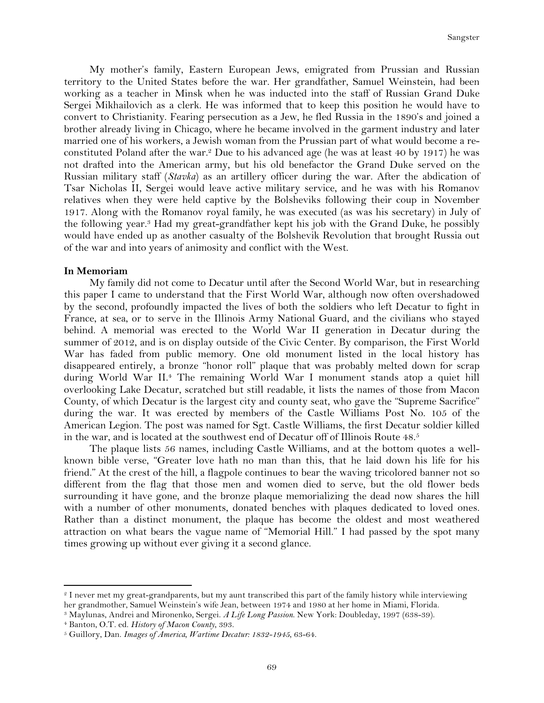My mother's family, Eastern European Jews, emigrated from Prussian and Russian territory to the United States before the war. Her grandfather, Samuel Weinstein, had been working as a teacher in Minsk when he was inducted into the staff of Russian Grand Duke Sergei Mikhailovich as a clerk. He was informed that to keep this position he would have to convert to Christianity. Fearing persecution as a Jew, he fled Russia in the 1890's and joined a brother already living in Chicago, where he became involved in the garment industry and later married one of his workers, a Jewish woman from the Prussian part of what would become a reconstituted Poland after the war.<sup>2</sup> Due to his advanced age (he was at least 40 by 1917) he was not drafted into the American army, but his old benefactor the Grand Duke served on the Russian military staff (*Stavka*) as an artillery officer during the war. After the abdication of Tsar Nicholas II, Sergei would leave active military service, and he was with his Romanov relatives when they were held captive by the Bolsheviks following their coup in November 1917. Along with the Romanov royal family, he was executed (as was his secretary) in July of the following year.3 Had my great-grandfather kept his job with the Grand Duke, he possibly would have ended up as another casualty of the Bolshevik Revolution that brought Russia out of the war and into years of animosity and conflict with the West.

### **In Memoriam**

My family did not come to Decatur until after the Second World War, but in researching this paper I came to understand that the First World War, although now often overshadowed by the second, profoundly impacted the lives of both the soldiers who left Decatur to fight in France, at sea, or to serve in the Illinois Army National Guard, and the civilians who stayed behind. A memorial was erected to the World War II generation in Decatur during the summer of 2012, and is on display outside of the Civic Center. By comparison, the First World War has faded from public memory. One old monument listed in the local history has disappeared entirely, a bronze "honor roll" plaque that was probably melted down for scrap during World War II.4 The remaining World War I monument stands atop a quiet hill overlooking Lake Decatur, scratched but still readable, it lists the names of those from Macon County, of which Decatur is the largest city and county seat, who gave the "Supreme Sacrifice" during the war. It was erected by members of the Castle Williams Post No. 105 of the American Legion. The post was named for Sgt. Castle Williams, the first Decatur soldier killed in the war, and is located at the southwest end of Decatur off of Illinois Route 48.<sup>5</sup>

The plaque lists 56 names, including Castle Williams, and at the bottom quotes a wellknown bible verse, "Greater love hath no man than this, that he laid down his life for his friend." At the crest of the hill, a flagpole continues to bear the waving tricolored banner not so different from the flag that those men and women died to serve, but the old flower beds surrounding it have gone, and the bronze plaque memorializing the dead now shares the hill with a number of other monuments, donated benches with plaques dedicated to loved ones. Rather than a distinct monument, the plaque has become the oldest and most weathered attraction on what bears the vague name of "Memorial Hill." I had passed by the spot many times growing up without ever giving it a second glance.

<sup>2</sup> I never met my great-grandparents, but my aunt transcribed this part of the family history while interviewing her grandmother, Samuel Weinstein's wife Jean, between 1974 and 1980 at her home in Miami, Florida.

<sup>3</sup> Maylunas, Andrei and Mironenko, Sergei. *A Life Long Passion*. New York: Doubleday, 1997 (638-39).

<sup>4</sup> Banton, O.T. ed. *History of Macon County*, 393.

<sup>5</sup> Guillory, Dan. *Images of America, Wartime Decatur: 1832-1945*, 63-64.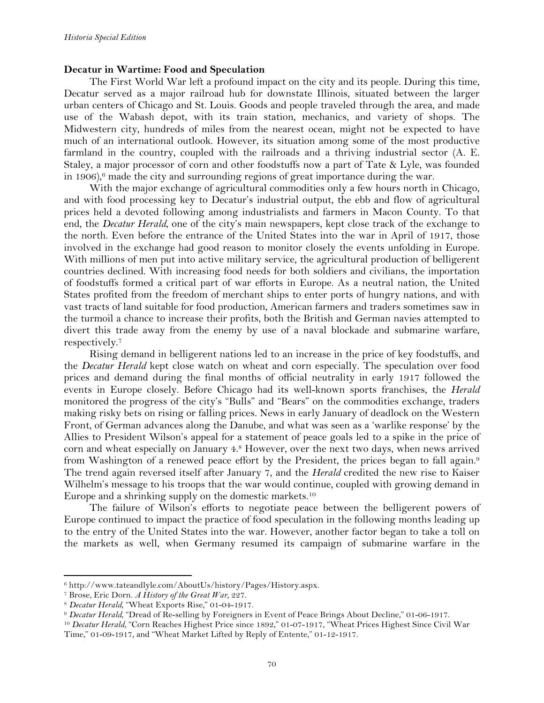## **Decatur in Wartime: Food and Speculation**

The First World War left a profound impact on the city and its people. During this time, Decatur served as a major railroad hub for downstate Illinois, situated between the larger urban centers of Chicago and St. Louis. Goods and people traveled through the area, and made use of the Wabash depot, with its train station, mechanics, and variety of shops. The Midwestern city, hundreds of miles from the nearest ocean, might not be expected to have much of an international outlook. However, its situation among some of the most productive farmland in the country, coupled with the railroads and a thriving industrial sector (A. E. Staley, a major processor of corn and other foodstuffs now a part of Tate & Lyle, was founded in 1906),<sup>6</sup> made the city and surrounding regions of great importance during the war.

With the major exchange of agricultural commodities only a few hours north in Chicago, and with food processing key to Decatur's industrial output, the ebb and flow of agricultural prices held a devoted following among industrialists and farmers in Macon County. To that end, the *Decatur Herald*, one of the city's main newspapers, kept close track of the exchange to the north. Even before the entrance of the United States into the war in April of 1917, those involved in the exchange had good reason to monitor closely the events unfolding in Europe. With millions of men put into active military service, the agricultural production of belligerent countries declined. With increasing food needs for both soldiers and civilians, the importation of foodstuffs formed a critical part of war efforts in Europe. As a neutral nation, the United States profited from the freedom of merchant ships to enter ports of hungry nations, and with vast tracts of land suitable for food production, American farmers and traders sometimes saw in the turmoil a chance to increase their profits, both the British and German navies attempted to divert this trade away from the enemy by use of a naval blockade and submarine warfare, respectively.7

Rising demand in belligerent nations led to an increase in the price of key foodstuffs, and the *Decatur Herald* kept close watch on wheat and corn especially. The speculation over food prices and demand during the final months of official neutrality in early 1917 followed the events in Europe closely. Before Chicago had its well-known sports franchises, the *Herald*  monitored the progress of the city's "Bulls" and "Bears" on the commodities exchange, traders making risky bets on rising or falling prices. News in early January of deadlock on the Western Front, of German advances along the Danube, and what was seen as a 'warlike response' by the Allies to President Wilson's appeal for a statement of peace goals led to a spike in the price of corn and wheat especially on January 4.8 However, over the next two days, when news arrived from Washington of a renewed peace effort by the President, the prices began to fall again.9 The trend again reversed itself after January 7, and the *Herald* credited the new rise to Kaiser Wilhelm's message to his troops that the war would continue, coupled with growing demand in Europe and a shrinking supply on the domestic markets.10

The failure of Wilson's efforts to negotiate peace between the belligerent powers of Europe continued to impact the practice of food speculation in the following months leading up to the entry of the United States into the war. However, another factor began to take a toll on the markets as well, when Germany resumed its campaign of submarine warfare in the

<sup>6</sup> http://www.tateandlyle.com/AboutUs/history/Pages/History.aspx.

<sup>7</sup> Brose, Eric Dorn. *A History of the Great War*, 227.

<sup>8</sup> *Decatur Herald,* "Wheat Exports Rise," 01-04-1917.

<sup>9</sup> *Decatur Herald,* "Dread of Re-selling by Foreigners in Event of Peace Brings About Decline," 01-06-1917.

<sup>&</sup>lt;sup>10</sup> *Decatur Herald*, "Corn Reaches Highest Price since 1892," 01-07-1917, "Wheat Prices Highest Since Civil War Time," 01-09-1917, and "Wheat Market Lifted by Reply of Entente," 01-12-1917.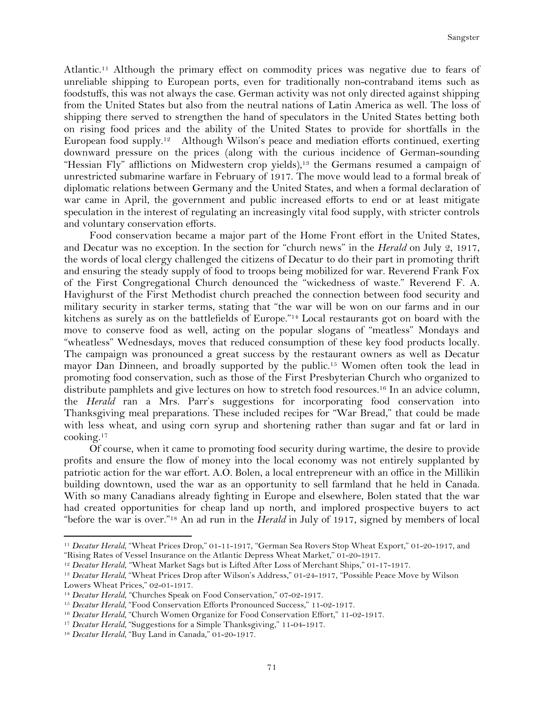Atlantic.11 Although the primary effect on commodity prices was negative due to fears of unreliable shipping to European ports, even for traditionally non-contraband items such as foodstuffs, this was not always the case. German activity was not only directed against shipping from the United States but also from the neutral nations of Latin America as well. The loss of shipping there served to strengthen the hand of speculators in the United States betting both on rising food prices and the ability of the United States to provide for shortfalls in the European food supply.12 Although Wilson's peace and mediation efforts continued, exerting downward pressure on the prices (along with the curious incidence of German-sounding "Hessian Fly" afflictions on Midwestern crop yields),<sup>13</sup> the Germans resumed a campaign of unrestricted submarine warfare in February of 1917. The move would lead to a formal break of diplomatic relations between Germany and the United States, and when a formal declaration of war came in April, the government and public increased efforts to end or at least mitigate speculation in the interest of regulating an increasingly vital food supply, with stricter controls and voluntary conservation efforts.

Food conservation became a major part of the Home Front effort in the United States, and Decatur was no exception. In the section for "church news" in the *Herald* on July 2, 1917, the words of local clergy challenged the citizens of Decatur to do their part in promoting thrift and ensuring the steady supply of food to troops being mobilized for war. Reverend Frank Fox of the First Congregational Church denounced the "wickedness of waste." Reverend F. A. Havighurst of the First Methodist church preached the connection between food security and military security in starker terms, stating that "the war will be won on our farms and in our kitchens as surely as on the battlefields of Europe."14 Local restaurants got on board with the move to conserve food as well, acting on the popular slogans of "meatless" Mondays and "wheatless" Wednesdays, moves that reduced consumption of these key food products locally. The campaign was pronounced a great success by the restaurant owners as well as Decatur mayor Dan Dinneen, and broadly supported by the public.<sup>15</sup> Women often took the lead in promoting food conservation, such as those of the First Presbyterian Church who organized to distribute pamphlets and give lectures on how to stretch food resources.<sup>16</sup> In an advice column, the *Herald* ran a Mrs. Parr's suggestions for incorporating food conservation into Thanksgiving meal preparations. These included recipes for "War Bread," that could be made with less wheat, and using corn syrup and shortening rather than sugar and fat or lard in cooking.17

Of course, when it came to promoting food security during wartime, the desire to provide profits and ensure the flow of money into the local economy was not entirely supplanted by patriotic action for the war effort. A.O. Bolen, a local entrepreneur with an office in the Millikin building downtown, used the war as an opportunity to sell farmland that he held in Canada. With so many Canadians already fighting in Europe and elsewhere, Bolen stated that the war had created opportunities for cheap land up north, and implored prospective buyers to act "before the war is over."18 An ad run in the *Herald* in July of 1917, signed by members of local

<sup>11</sup> *Decatur Herald,* "Wheat Prices Drop," 01-11-1917, "German Sea Rovers Stop Wheat Export," 01-20-1917, and "Rising Rates of Vessel Insurance on the Atlantic Depress Wheat Market," 01-20-1917.

<sup>12</sup> *Decatur Herald*, "Wheat Market Sags but is Lifted After Loss of Merchant Ships," 01-17-1917.

<sup>&</sup>lt;sup>13</sup> *Decatur Herald,* "Wheat Prices Drop after Wilson's Address," 01-24-1917, "Possible Peace Move by Wilson Lowers Wheat Prices," 02-01-1917.

<sup>&</sup>lt;sup>14</sup> *Decatur Herald*, "Churches Speak on Food Conservation," 07-02-1917.

<sup>&</sup>lt;sup>15</sup> Decatur Herald, "Food Conservation Efforts Pronounced Success," 11-02-1917.

<sup>&</sup>lt;sup>16</sup> Decatur Herald, "Church Women Organize for Food Conservation Effort," 11-02-1917.

<sup>&</sup>lt;sup>17</sup> *Decatur Herald,* "Suggestions for a Simple Thanksgiving," 11-04-1917.

<sup>&</sup>lt;sup>18</sup> *Decatur Herald*, "Buy Land in Canada," 01-20-1917.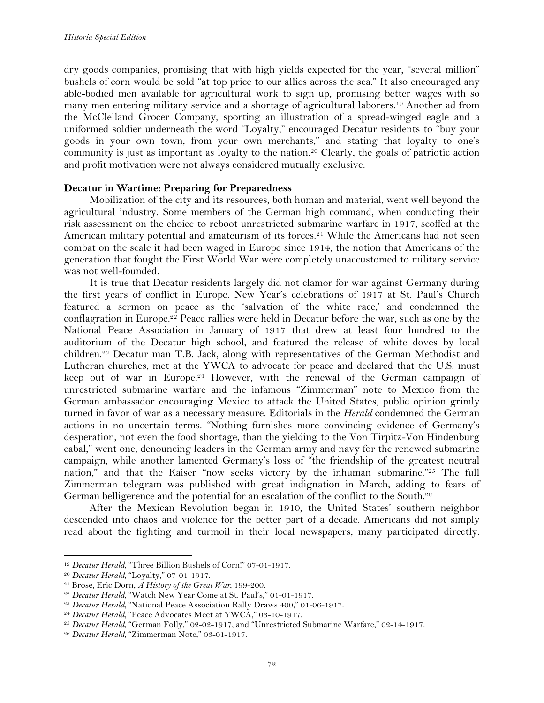dry goods companies, promising that with high yields expected for the year, "several million" bushels of corn would be sold "at top price to our allies across the sea." It also encouraged any able-bodied men available for agricultural work to sign up, promising better wages with so many men entering military service and a shortage of agricultural laborers.19 Another ad from the McClelland Grocer Company, sporting an illustration of a spread-winged eagle and a uniformed soldier underneath the word "Loyalty," encouraged Decatur residents to "buy your goods in your own town, from your own merchants," and stating that loyalty to one's community is just as important as loyalty to the nation. <sup>20</sup> Clearly, the goals of patriotic action and profit motivation were not always considered mutually exclusive.

# **Decatur in Wartime: Preparing for Preparedness**

Mobilization of the city and its resources, both human and material, went well beyond the agricultural industry. Some members of the German high command, when conducting their risk assessment on the choice to reboot unrestricted submarine warfare in 1917, scoffed at the American military potential and amateurism of its forces.<sup>21</sup> While the Americans had not seen combat on the scale it had been waged in Europe since 1914, the notion that Americans of the generation that fought the First World War were completely unaccustomed to military service was not well-founded.

It is true that Decatur residents largely did not clamor for war against Germany during the first years of conflict in Europe. New Year's celebrations of 1917 at St. Paul's Church featured a sermon on peace as the 'salvation of the white race,' and condemned the conflagration in Europe.<sup>22</sup> Peace rallies were held in Decatur before the war, such as one by the National Peace Association in January of 1917 that drew at least four hundred to the auditorium of the Decatur high school, and featured the release of white doves by local children.23 Decatur man T.B. Jack, along with representatives of the German Methodist and Lutheran churches, met at the YWCA to advocate for peace and declared that the U.S. must keep out of war in Europe.24 However, with the renewal of the German campaign of unrestricted submarine warfare and the infamous "Zimmerman" note to Mexico from the German ambassador encouraging Mexico to attack the United States, public opinion grimly turned in favor of war as a necessary measure. Editorials in the *Herald* condemned the German actions in no uncertain terms. "Nothing furnishes more convincing evidence of Germany's desperation, not even the food shortage, than the yielding to the Von Tirpitz-Von Hindenburg cabal," went one, denouncing leaders in the German army and navy for the renewed submarine campaign, while another lamented Germany's loss of "the friendship of the greatest neutral nation," and that the Kaiser "now seeks victory by the inhuman submarine."<sup>25</sup> The full Zimmerman telegram was published with great indignation in March, adding to fears of German belligerence and the potential for an escalation of the conflict to the South.26

After the Mexican Revolution began in 1910, the United States' southern neighbor descended into chaos and violence for the better part of a decade. Americans did not simply read about the fighting and turmoil in their local newspapers, many participated directly.

<sup>19</sup> *Decatur Herald,* "Three Billion Bushels of Corn!" 07-01-1917.

<sup>20</sup> *Decatur Herald,* "Loyalty," 07-01-1917.

<sup>21</sup> Brose, Eric Dorn, *A History of the Great War,* 199-200.

<sup>22</sup> *Decatur Herald,* "Watch New Year Come at St. Paul's," 01-01-1917.

<sup>23</sup> *Decatur Herald,* "National Peace Association Rally Draws 400," 01-06-1917.

<sup>&</sup>lt;sup>24</sup> Decatur Herald, "Peace Advocates Meet at YWCA," 03-10-1917.

<sup>25</sup> *Decatur Herald,* "German Folly," 02-02-1917, and "Unrestricted Submarine Warfare," 02-14-1917.

<sup>26</sup> *Decatur Herald,* "Zimmerman Note," 03-01-1917.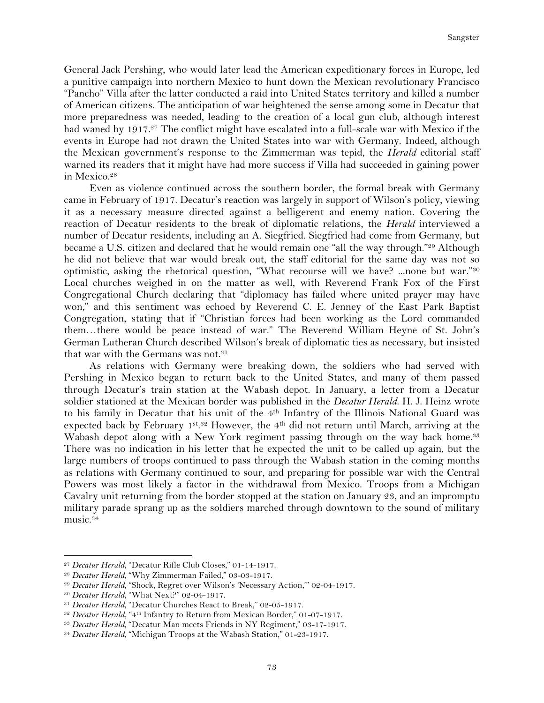General Jack Pershing, who would later lead the American expeditionary forces in Europe, led a punitive campaign into northern Mexico to hunt down the Mexican revolutionary Francisco "Pancho" Villa after the latter conducted a raid into United States territory and killed a number of American citizens. The anticipation of war heightened the sense among some in Decatur that more preparedness was needed, leading to the creation of a local gun club, although interest had waned by 1917.<sup>27</sup> The conflict might have escalated into a full-scale war with Mexico if the events in Europe had not drawn the United States into war with Germany. Indeed, although the Mexican government's response to the Zimmerman was tepid, the *Herald* editorial staff warned its readers that it might have had more success if Villa had succeeded in gaining power in Mexico.28

Even as violence continued across the southern border, the formal break with Germany came in February of 1917. Decatur's reaction was largely in support of Wilson's policy, viewing it as a necessary measure directed against a belligerent and enemy nation. Covering the reaction of Decatur residents to the break of diplomatic relations, the *Herald* interviewed a number of Decatur residents, including an A. Siegfried. Siegfried had come from Germany, but became a U.S. citizen and declared that he would remain one "all the way through."<sup>29</sup> Although he did not believe that war would break out, the staff editorial for the same day was not so optimistic, asking the rhetorical question, "What recourse will we have? ...none but war."30 Local churches weighed in on the matter as well, with Reverend Frank Fox of the First Congregational Church declaring that "diplomacy has failed where united prayer may have won," and this sentiment was echoed by Reverend C. E. Jenney of the East Park Baptist Congregation, stating that if "Christian forces had been working as the Lord commanded them…there would be peace instead of war." The Reverend William Heyne of St. John's German Lutheran Church described Wilson's break of diplomatic ties as necessary, but insisted that war with the Germans was not.<sup>31</sup>

As relations with Germany were breaking down, the soldiers who had served with Pershing in Mexico began to return back to the United States, and many of them passed through Decatur's train station at the Wabash depot. In January, a letter from a Decatur soldier stationed at the Mexican border was published in the *Decatur Herald*. H. J. Heinz wrote to his family in Decatur that his unit of the 4th Infantry of the Illinois National Guard was expected back by February 1st.<sup>32</sup> However, the 4<sup>th</sup> did not return until March, arriving at the Wabash depot along with a New York regiment passing through on the way back home.<sup>33</sup> There was no indication in his letter that he expected the unit to be called up again, but the large numbers of troops continued to pass through the Wabash station in the coming months as relations with Germany continued to sour, and preparing for possible war with the Central Powers was most likely a factor in the withdrawal from Mexico. Troops from a Michigan Cavalry unit returning from the border stopped at the station on January 23, and an impromptu military parade sprang up as the soldiers marched through downtown to the sound of military music.34

<sup>27</sup> *Decatur Herald,* "Decatur Rifle Club Closes," 01-14-1917.

<sup>28</sup> *Decatur Herald,* "Why Zimmerman Failed," 03-03-1917.

<sup>&</sup>lt;sup>29</sup> Decatur Herald, "Shock, Regret over Wilson's 'Necessary Action," 02-04-1917.

<sup>30</sup> *Decatur Herald,* "What Next?" 02-04-1917.

<sup>31</sup> *Decatur Herald,* "Decatur Churches React to Break," 02-05-1917.

<sup>32</sup> *Decatur Herald*, "4th Infantry to Return from Mexican Border," 01-07-1917.

<sup>33</sup> *Decatur Herald,* "Decatur Man meets Friends in NY Regiment," 03-17-1917.

<sup>34</sup> *Decatur Herald,* "Michigan Troops at the Wabash Station," 01-23-1917.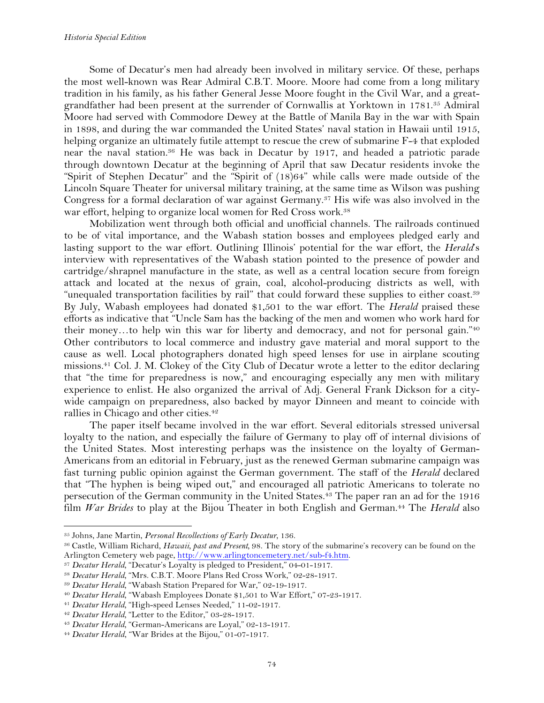Some of Decatur's men had already been involved in military service. Of these, perhaps the most well-known was Rear Admiral C.B.T. Moore. Moore had come from a long military tradition in his family, as his father General Jesse Moore fought in the Civil War, and a greatgrandfather had been present at the surrender of Cornwallis at Yorktown in 1781.35 Admiral Moore had served with Commodore Dewey at the Battle of Manila Bay in the war with Spain in 1898, and during the war commanded the United States' naval station in Hawaii until 1915, helping organize an ultimately futile attempt to rescue the crew of submarine F-4 that exploded near the naval station.36 He was back in Decatur by 1917, and headed a patriotic parade through downtown Decatur at the beginning of April that saw Decatur residents invoke the "Spirit of Stephen Decatur" and the "Spirit of (18)64" while calls were made outside of the Lincoln Square Theater for universal military training, at the same time as Wilson was pushing Congress for a formal declaration of war against Germany.37 His wife was also involved in the war effort, helping to organize local women for Red Cross work.<sup>38</sup>

Mobilization went through both official and unofficial channels. The railroads continued to be of vital importance, and the Wabash station bosses and employees pledged early and lasting support to the war effort. Outlining Illinois' potential for the war effort, the *Herald*'s interview with representatives of the Wabash station pointed to the presence of powder and cartridge/shrapnel manufacture in the state, as well as a central location secure from foreign attack and located at the nexus of grain, coal, alcohol-producing districts as well, with "unequaled transportation facilities by rail" that could forward these supplies to either coast.39 By July, Wabash employees had donated \$1,501 to the war effort. The *Herald* praised these efforts as indicative that "Uncle Sam has the backing of the men and women who work hard for their money…to help win this war for liberty and democracy, and not for personal gain."40 Other contributors to local commerce and industry gave material and moral support to the cause as well. Local photographers donated high speed lenses for use in airplane scouting missions.41 Col. J. M. Clokey of the City Club of Decatur wrote a letter to the editor declaring that "the time for preparedness is now," and encouraging especially any men with military experience to enlist. He also organized the arrival of Adj. General Frank Dickson for a citywide campaign on preparedness, also backed by mayor Dinneen and meant to coincide with rallies in Chicago and other cities.<sup>42</sup>

The paper itself became involved in the war effort. Several editorials stressed universal loyalty to the nation, and especially the failure of Germany to play off of internal divisions of the United States. Most interesting perhaps was the insistence on the loyalty of German-Americans from an editorial in February, just as the renewed German submarine campaign was fast turning public opinion against the German government. The staff of the *Herald* declared that "The hyphen is being wiped out," and encouraged all patriotic Americans to tolerate no persecution of the German community in the United States.<sup>43</sup> The paper ran an ad for the 1916 film *War Brides* to play at the Bijou Theater in both English and German.44 The *Herald* also

<sup>35</sup> Johns, Jane Martin, *Personal Recollections of Early Decatur,* 136.

<sup>36</sup> Castle, William Richard, *Hawaii, past and Present,* 98. The story of the submarine's recovery can be found on the Arlington Cemetery web page, http://www.arlingtoncemetery.net/sub-f4.htm. 37 *Decatur Herald,* "Decatur's Loyalty is pledged to President," 04-01-1917.

<sup>38</sup> *Decatur Herald,* "Mrs. C.B.T. Moore Plans Red Cross Work," 02-28-1917.

<sup>39</sup> *Decatur Herald,* "Wabash Station Prepared for War," 02-19-1917.

<sup>40</sup> *Decatur Herald,* "Wabash Employees Donate \$1,501 to War Effort," 07-23-1917.

<sup>41</sup> *Decatur Herald,* "High-speed Lenses Needed," 11-02-1917.

<sup>42</sup> *Decatur Herald,* "Letter to the Editor," 03-28-1917.

<sup>43</sup> *Decatur Herald,* "German-Americans are Loyal," 02-13-1917.

<sup>44</sup> *Decatur Herald*, "War Brides at the Bijou," 01-07-1917.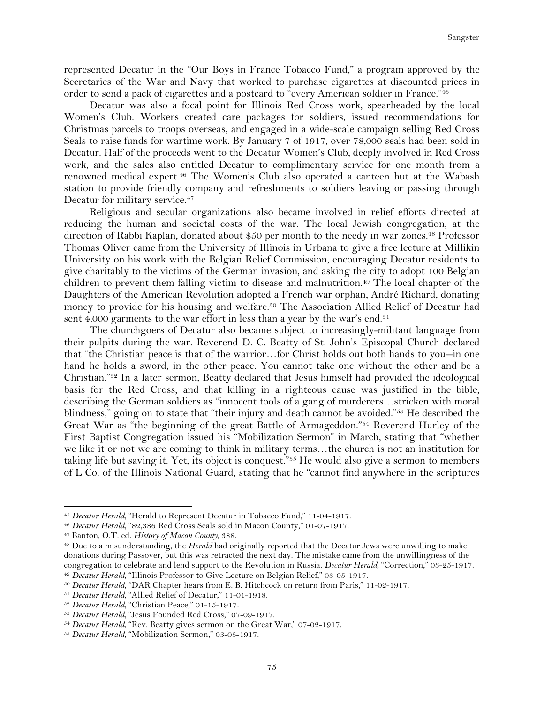represented Decatur in the "Our Boys in France Tobacco Fund," a program approved by the Secretaries of the War and Navy that worked to purchase cigarettes at discounted prices in order to send a pack of cigarettes and a postcard to "every American soldier in France."45

Decatur was also a focal point for Illinois Red Cross work, spearheaded by the local Women's Club. Workers created care packages for soldiers, issued recommendations for Christmas parcels to troops overseas, and engaged in a wide-scale campaign selling Red Cross Seals to raise funds for wartime work. By January 7 of 1917, over 78,000 seals had been sold in Decatur. Half of the proceeds went to the Decatur Women's Club, deeply involved in Red Cross work, and the sales also entitled Decatur to complimentary service for one month from a renowned medical expert.46 The Women's Club also operated a canteen hut at the Wabash station to provide friendly company and refreshments to soldiers leaving or passing through Decatur for military service.<sup>47</sup>

Religious and secular organizations also became involved in relief efforts directed at reducing the human and societal costs of the war. The local Jewish congregation, at the direction of Rabbi Kaplan, donated about \$50 per month to the needy in war zones.<sup>48</sup> Professor Thomas Oliver came from the University of Illinois in Urbana to give a free lecture at Millikin University on his work with the Belgian Relief Commission, encouraging Decatur residents to give charitably to the victims of the German invasion, and asking the city to adopt 100 Belgian children to prevent them falling victim to disease and malnutrition.<sup>49</sup> The local chapter of the Daughters of the American Revolution adopted a French war orphan, André Richard, donating money to provide for his housing and welfare.<sup>50</sup> The Association Allied Relief of Decatur had sent 4,000 garments to the war effort in less than a year by the war's end.<sup>51</sup>

The churchgoers of Decatur also became subject to increasingly-militant language from their pulpits during the war. Reverend D. C. Beatty of St. John's Episcopal Church declared that "the Christian peace is that of the warrior…for Christ holds out both hands to you--in one hand he holds a sword, in the other peace. You cannot take one without the other and be a Christian."52 In a later sermon, Beatty declared that Jesus himself had provided the ideological basis for the Red Cross, and that killing in a righteous cause was justified in the bible, describing the German soldiers as "innocent tools of a gang of murderers…stricken with moral blindness," going on to state that "their injury and death cannot be avoided."<sup>53</sup> He described the Great War as "the beginning of the great Battle of Armageddon."54 Reverend Hurley of the First Baptist Congregation issued his "Mobilization Sermon" in March, stating that "whether we like it or not we are coming to think in military terms…the church is not an institution for taking life but saving it. Yet, its object is conquest."55 He would also give a sermon to members of L Co. of the Illinois National Guard, stating that he "cannot find anywhere in the scriptures

<sup>45</sup> *Decatur Herald,* "Herald to Represent Decatur in Tobacco Fund," 11-04-1917.

<sup>46</sup> *Decatur Herald,* "82,386 Red Cross Seals sold in Macon County," 01-07-1917.

<sup>47</sup> Banton, O.T. ed. *History of Macon County,* 388.

<sup>48</sup> Due to a misunderstanding, the *Herald* had originally reported that the Decatur Jews were unwilling to make donations during Passover, but this was retracted the next day. The mistake came from the unwillingness of the congregation to celebrate and lend support to the Revolution in Russia. *Decatur Herald,* "Correction," 03-25-1917. <sup>49</sup> *Decatur Herald,* "Illinois Professor to Give Lecture on Belgian Relief," 03-05-1917.

<sup>50</sup> *Decatur Herald,* "DAR Chapter hears from E. B. Hitchcock on return from Paris," 11-02-1917.

<sup>51</sup> *Decatur Herald,* "Allied Relief of Decatur," 11-01-1918.

<sup>52</sup> *Decatur Herald,* "Christian Peace," 01-15-1917.

<sup>53</sup> *Decatur Herald,* "Jesus Founded Red Cross," 07-09-1917.

<sup>&</sup>lt;sup>54</sup> Decatur Herald, "Rev. Beatty gives sermon on the Great War," 07-02-1917.

<sup>55</sup> *Decatur Herald,* "Mobilization Sermon," 03-05-1917.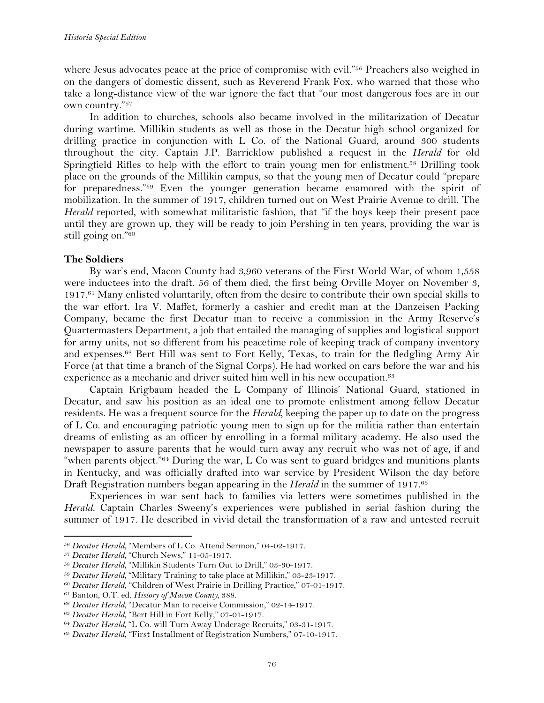where Jesus advocates peace at the price of compromise with evil."<sup>56</sup> Preachers also weighed in on the dangers of domestic dissent, such as Reverend Frank Fox, who warned that those who take a long-distance view of the war ignore the fact that "our most dangerous foes are in our own country."57

In addition to churches, schools also became involved in the militarization of Decatur during wartime. Millikin students as well as those in the Decatur high school organized for drilling practice in conjunction with L Co. of the National Guard, around 300 students throughout the city. Captain J.P. Barricklow published a request in the *Herald* for old Springfield Rifles to help with the effort to train young men for enlistment.<sup>58</sup> Drilling took place on the grounds of the Millikin campus, so that the young men of Decatur could "prepare for preparedness."59 Even the younger generation became enamored with the spirit of mobilization. In the summer of 1917, children turned out on West Prairie Avenue to drill. The *Herald* reported, with somewhat militaristic fashion, that "if the boys keep their present pace until they are grown up, they will be ready to join Pershing in ten years, providing the war is still going on."60

## **The Soldiers**

By war's end, Macon County had 3,960 veterans of the First World War, of whom 1,558 were inductees into the draft. 56 of them died, the first being Orville Moyer on November 3, 1917.61 Many enlisted voluntarily, often from the desire to contribute their own special skills to the war effort. Ira V. Maffet, formerly a cashier and credit man at the Danzeisen Packing Company, became the first Decatur man to receive a commission in the Army Reserve's Quartermasters Department, a job that entailed the managing of supplies and logistical support for army units, not so different from his peacetime role of keeping track of company inventory and expenses.62 Bert Hill was sent to Fort Kelly, Texas, to train for the fledgling Army Air Force (at that time a branch of the Signal Corps). He had worked on cars before the war and his experience as a mechanic and driver suited him well in his new occupation.<sup>63</sup>

Captain Krigbaum headed the L Company of Illinois' National Guard, stationed in Decatur, and saw his position as an ideal one to promote enlistment among fellow Decatur residents. He was a frequent source for the *Herald,* keeping the paper up to date on the progress of L Co. and encouraging patriotic young men to sign up for the militia rather than entertain dreams of enlisting as an officer by enrolling in a formal military academy. He also used the newspaper to assure parents that he would turn away any recruit who was not of age, if and "when parents object."64 During the war, L Co was sent to guard bridges and munitions plants in Kentucky, and was officially drafted into war service by President Wilson the day before Draft Registration numbers began appearing in the *Herald* in the summer of 1917.65

Experiences in war sent back to families via letters were sometimes published in the *Herald.* Captain Charles Sweeny's experiences were published in serial fashion during the summer of 1917. He described in vivid detail the transformation of a raw and untested recruit

<sup>56</sup> *Decatur Herald,* "Members of L Co. Attend Sermon," 04-02-1917.

<sup>57</sup> *Decatur Herald,* "Church News," 11-05-1917.

<sup>58</sup> *Decatur Herald,* "Millikin Students Turn Out to Drill," 03-30-1917.

<sup>59</sup> *Decatur Herald,* "Military Training to take place at Millikin," 03-23-1917.

<sup>60</sup> *Decatur Herald*, "Children of West Prairie in Drilling Practice," 07-01-1917.

<sup>61</sup> Banton, O.T. ed. *History of Macon County,* 388.

<sup>62</sup> *Decatur Herald,* "Decatur Man to receive Commission," 02-14-1917.

<sup>63</sup> *Decatur Herald,* "Bert Hill in Fort Kelly," 07-01-1917.

<sup>64</sup> *Decatur Herald,* "L Co. will Turn Away Underage Recruits," 03-31-1917.

<sup>65</sup> *Decatur Herald*, "First Installment of Registration Numbers," 07-10-1917.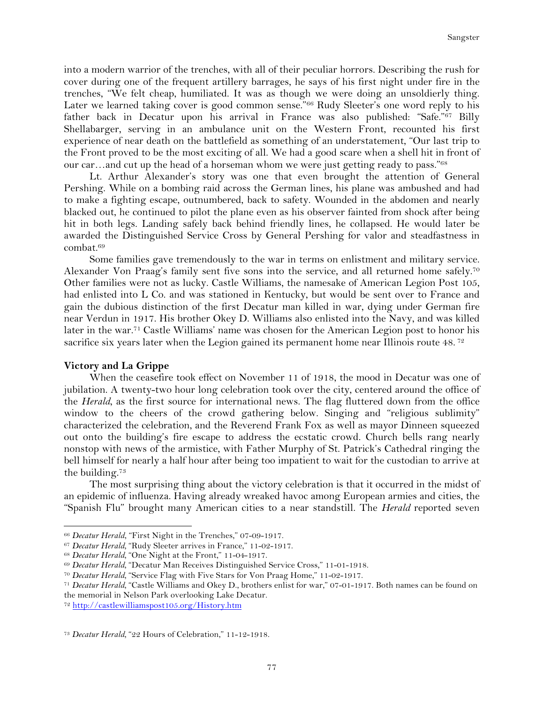into a modern warrior of the trenches, with all of their peculiar horrors. Describing the rush for cover during one of the frequent artillery barrages, he says of his first night under fire in the trenches, "We felt cheap, humiliated. It was as though we were doing an unsoldierly thing. Later we learned taking cover is good common sense."66 Rudy Sleeter's one word reply to his father back in Decatur upon his arrival in France was also published: "Safe."67 Billy Shellabarger, serving in an ambulance unit on the Western Front, recounted his first experience of near death on the battlefield as something of an understatement, "Our last trip to the Front proved to be the most exciting of all. We had a good scare when a shell hit in front of our car…and cut up the head of a horseman whom we were just getting ready to pass."68

Lt. Arthur Alexander's story was one that even brought the attention of General Pershing. While on a bombing raid across the German lines, his plane was ambushed and had to make a fighting escape, outnumbered, back to safety. Wounded in the abdomen and nearly blacked out, he continued to pilot the plane even as his observer fainted from shock after being hit in both legs. Landing safely back behind friendly lines, he collapsed. He would later be awarded the Distinguished Service Cross by General Pershing for valor and steadfastness in combat.69

Some families gave tremendously to the war in terms on enlistment and military service. Alexander Von Praag's family sent five sons into the service, and all returned home safely.<sup>70</sup> Other families were not as lucky. Castle Williams, the namesake of American Legion Post 105, had enlisted into L Co. and was stationed in Kentucky, but would be sent over to France and gain the dubious distinction of the first Decatur man killed in war, dying under German fire near Verdun in 1917. His brother Okey D. Williams also enlisted into the Navy, and was killed later in the war.71 Castle Williams' name was chosen for the American Legion post to honor his sacrifice six years later when the Legion gained its permanent home near Illinois route 48.<sup>72</sup>

## **Victory and La Grippe**

When the ceasefire took effect on November 11 of 1918, the mood in Decatur was one of jubilation. A twenty-two hour long celebration took over the city, centered around the office of the *Herald*, as the first source for international news. The flag fluttered down from the office window to the cheers of the crowd gathering below. Singing and "religious sublimity" characterized the celebration, and the Reverend Frank Fox as well as mayor Dinneen squeezed out onto the building's fire escape to address the ecstatic crowd. Church bells rang nearly nonstop with news of the armistice, with Father Murphy of St. Patrick's Cathedral ringing the bell himself for nearly a half hour after being too impatient to wait for the custodian to arrive at the building.73

The most surprising thing about the victory celebration is that it occurred in the midst of an epidemic of influenza. Having already wreaked havoc among European armies and cities, the "Spanish Flu" brought many American cities to a near standstill. The *Herald* reported seven

<sup>66</sup> *Decatur Herald*, "First Night in the Trenches," 07-09-1917.

<sup>67</sup> *Decatur Herald,* "Rudy Sleeter arrives in France," 11-02-1917.

<sup>68</sup> *Decatur Herald,* "One Night at the Front," 11-04-1917.

<sup>69</sup> *Decatur Herald,* "Decatur Man Receives Distinguished Service Cross," 11-01-1918.

<sup>70</sup> *Decatur Herald,* "Service Flag with Five Stars for Von Praag Home," 11-02-1917.

<sup>71</sup> *Decatur Herald,* "Castle Williams and Okey D., brothers enlist for war," 07-01-1917. Both names can be found on the memorial in Nelson Park overlooking Lake Decatur.

<sup>72</sup> http://castlewilliamspost105.org/History.htm

<sup>73</sup> *Decatur Herald,* "22 Hours of Celebration," 11-12-1918.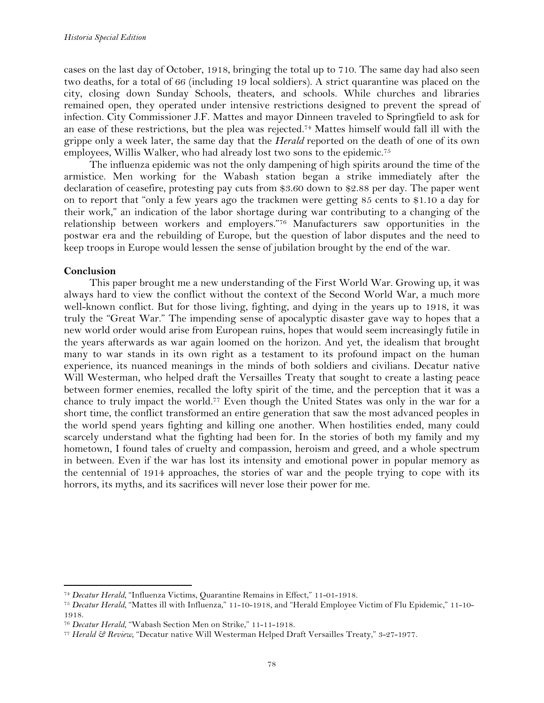cases on the last day of October, 1918, bringing the total up to 710. The same day had also seen two deaths, for a total of 66 (including 19 local soldiers). A strict quarantine was placed on the city, closing down Sunday Schools, theaters, and schools. While churches and libraries remained open, they operated under intensive restrictions designed to prevent the spread of infection. City Commissioner J.F. Mattes and mayor Dinneen traveled to Springfield to ask for an ease of these restrictions, but the plea was rejected.74 Mattes himself would fall ill with the grippe only a week later, the same day that the *Herald* reported on the death of one of its own employees, Willis Walker, who had already lost two sons to the epidemic.75

The influenza epidemic was not the only dampening of high spirits around the time of the armistice. Men working for the Wabash station began a strike immediately after the declaration of ceasefire, protesting pay cuts from \$3.60 down to \$2.88 per day. The paper went on to report that "only a few years ago the trackmen were getting 85 cents to \$1.10 a day for their work," an indication of the labor shortage during war contributing to a changing of the relationship between workers and employers."76 Manufacturers saw opportunities in the postwar era and the rebuilding of Europe, but the question of labor disputes and the need to keep troops in Europe would lessen the sense of jubilation brought by the end of the war.

# **Conclusion**

This paper brought me a new understanding of the First World War. Growing up, it was always hard to view the conflict without the context of the Second World War, a much more well-known conflict. But for those living, fighting, and dying in the years up to 1918, it was truly the "Great War." The impending sense of apocalyptic disaster gave way to hopes that a new world order would arise from European ruins, hopes that would seem increasingly futile in the years afterwards as war again loomed on the horizon. And yet, the idealism that brought many to war stands in its own right as a testament to its profound impact on the human experience, its nuanced meanings in the minds of both soldiers and civilians. Decatur native Will Westerman, who helped draft the Versailles Treaty that sought to create a lasting peace between former enemies, recalled the lofty spirit of the time, and the perception that it was a chance to truly impact the world.77 Even though the United States was only in the war for a short time, the conflict transformed an entire generation that saw the most advanced peoples in the world spend years fighting and killing one another. When hostilities ended, many could scarcely understand what the fighting had been for. In the stories of both my family and my hometown, I found tales of cruelty and compassion, heroism and greed, and a whole spectrum in between. Even if the war has lost its intensity and emotional power in popular memory as the centennial of 1914 approaches, the stories of war and the people trying to cope with its horrors, its myths, and its sacrifices will never lose their power for me.

<sup>74</sup> *Decatur Herald,* "Influenza Victims, Quarantine Remains in Effect," 11-01-1918.

<sup>75</sup> *Decatur Herald,* "Mattes ill with Influenza," 11-10-1918, and "Herald Employee Victim of Flu Epidemic," 11-10- 1918.

<sup>76</sup> *Decatur Herald,* "Wabash Section Men on Strike," 11-11-1918.

<sup>77</sup> *Herald & Review*, "Decatur native Will Westerman Helped Draft Versailles Treaty," 3-27-1977.